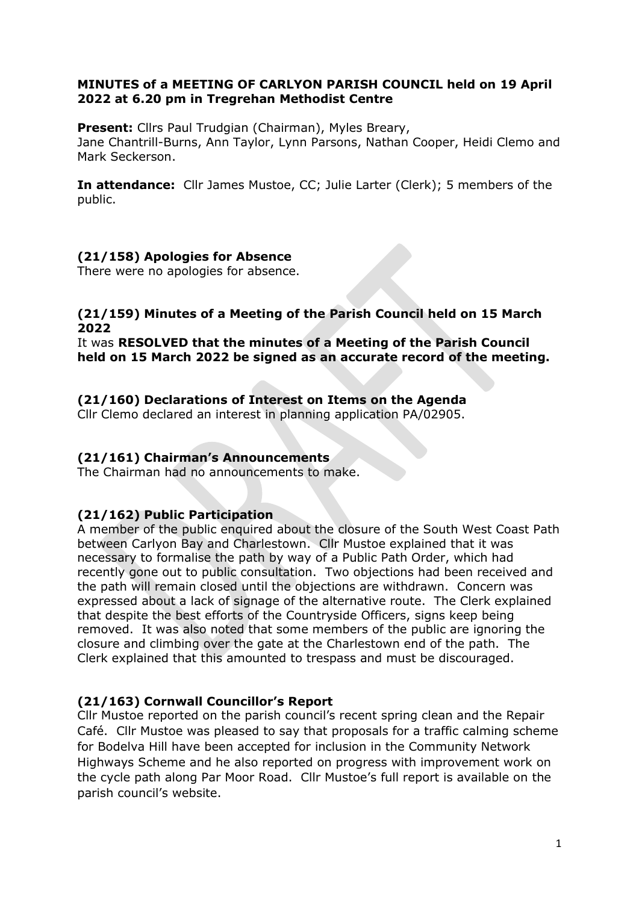### MINUTES of a MEETING OF CARLYON PARISH COUNCIL held on 19 April 2022 at 6.20 pm in Tregrehan Methodist Centre

Present: Cllrs Paul Trudgian (Chairman), Myles Breary, Jane Chantrill-Burns, Ann Taylor, Lynn Parsons, Nathan Cooper, Heidi Clemo and Mark Seckerson.

In attendance: Cllr James Mustoe, CC; Julie Larter (Clerk); 5 members of the public.

# (21/158) Apologies for Absence

There were no apologies for absence.

### (21/159) Minutes of a Meeting of the Parish Council held on 15 March 2022

It was RESOLVED that the minutes of a Meeting of the Parish Council held on 15 March 2022 be signed as an accurate record of the meeting.

## (21/160) Declarations of Interest on Items on the Agenda

Cllr Clemo declared an interest in planning application PA/02905.

## (21/161) Chairman's Announcements

The Chairman had no announcements to make.

# (21/162) Public Participation

A member of the public enquired about the closure of the South West Coast Path between Carlyon Bay and Charlestown. Cllr Mustoe explained that it was necessary to formalise the path by way of a Public Path Order, which had recently gone out to public consultation. Two objections had been received and the path will remain closed until the objections are withdrawn. Concern was expressed about a lack of signage of the alternative route. The Clerk explained that despite the best efforts of the Countryside Officers, signs keep being removed. It was also noted that some members of the public are ignoring the closure and climbing over the gate at the Charlestown end of the path. The Clerk explained that this amounted to trespass and must be discouraged.

# (21/163) Cornwall Councillor's Report

Cllr Mustoe reported on the parish council's recent spring clean and the Repair Café. Cllr Mustoe was pleased to say that proposals for a traffic calming scheme for Bodelva Hill have been accepted for inclusion in the Community Network Highways Scheme and he also reported on progress with improvement work on the cycle path along Par Moor Road. Cllr Mustoe's full report is available on the parish council's website.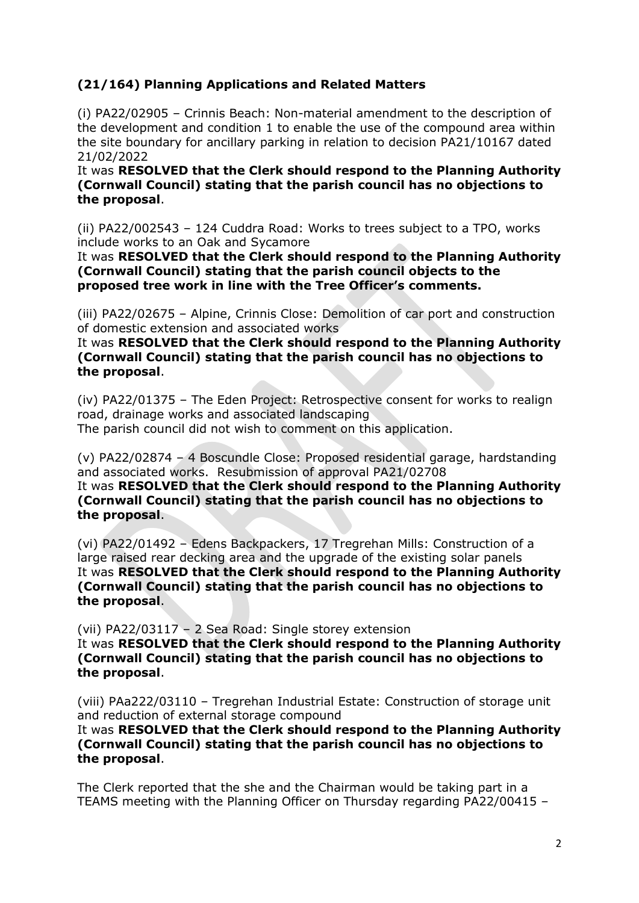# (21/164) Planning Applications and Related Matters

(i) PA22/02905 – Crinnis Beach: Non-material amendment to the description of the development and condition 1 to enable the use of the compound area within the site boundary for ancillary parking in relation to decision PA21/10167 dated 21/02/2022

It was RESOLVED that the Clerk should respond to the Planning Authority (Cornwall Council) stating that the parish council has no objections to the proposal.

(ii) PA22/002543 – 124 Cuddra Road: Works to trees subject to a TPO, works include works to an Oak and Sycamore

It was RESOLVED that the Clerk should respond to the Planning Authority (Cornwall Council) stating that the parish council objects to the proposed tree work in line with the Tree Officer's comments.

(iii) PA22/02675 – Alpine, Crinnis Close: Demolition of car port and construction of domestic extension and associated works

It was RESOLVED that the Clerk should respond to the Planning Authority (Cornwall Council) stating that the parish council has no objections to the proposal.

(iv) PA22/01375 – The Eden Project: Retrospective consent for works to realign road, drainage works and associated landscaping The parish council did not wish to comment on this application.

(v) PA22/02874 – 4 Boscundle Close: Proposed residential garage, hardstanding and associated works. Resubmission of approval PA21/02708

It was RESOLVED that the Clerk should respond to the Planning Authority (Cornwall Council) stating that the parish council has no objections to the proposal.

(vi) PA22/01492 – Edens Backpackers, 17 Tregrehan Mills: Construction of a large raised rear decking area and the upgrade of the existing solar panels It was RESOLVED that the Clerk should respond to the Planning Authority (Cornwall Council) stating that the parish council has no objections to the proposal.

(vii) PA22/03117 – 2 Sea Road: Single storey extension

It was RESOLVED that the Clerk should respond to the Planning Authority (Cornwall Council) stating that the parish council has no objections to the proposal.

(viii) PAa222/03110 – Tregrehan Industrial Estate: Construction of storage unit and reduction of external storage compound

It was RESOLVED that the Clerk should respond to the Planning Authority (Cornwall Council) stating that the parish council has no objections to the proposal.

The Clerk reported that the she and the Chairman would be taking part in a TEAMS meeting with the Planning Officer on Thursday regarding PA22/00415 –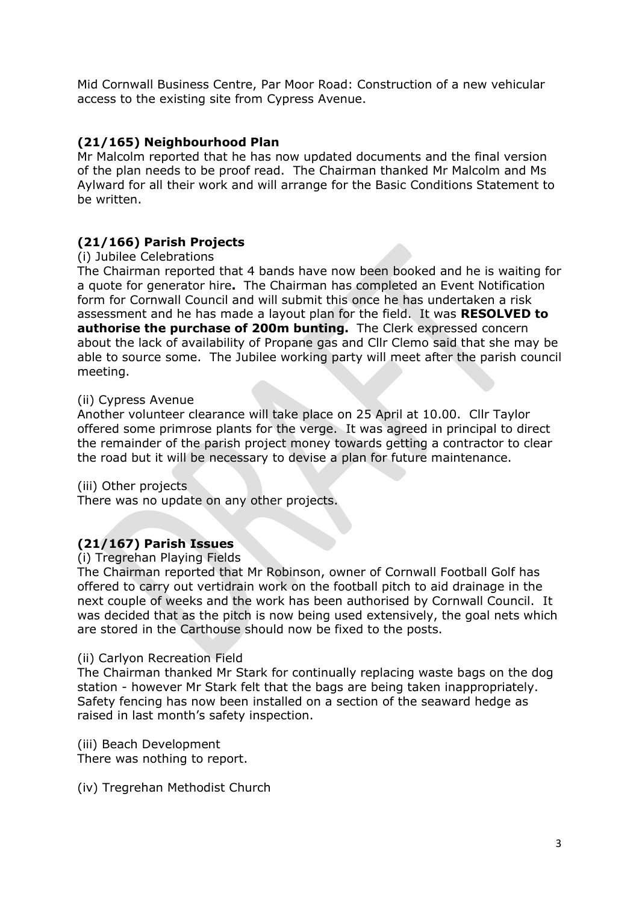Mid Cornwall Business Centre, Par Moor Road: Construction of a new vehicular access to the existing site from Cypress Avenue.

## (21/165) Neighbourhood Plan

Mr Malcolm reported that he has now updated documents and the final version of the plan needs to be proof read. The Chairman thanked Mr Malcolm and Ms Aylward for all their work and will arrange for the Basic Conditions Statement to be written.

## (21/166) Parish Projects

### (i) Jubilee Celebrations

The Chairman reported that 4 bands have now been booked and he is waiting for a quote for generator hire. The Chairman has completed an Event Notification form for Cornwall Council and will submit this once he has undertaken a risk assessment and he has made a layout plan for the field. It was RESOLVED to authorise the purchase of 200m bunting. The Clerk expressed concern about the lack of availability of Propane gas and Cllr Clemo said that she may be able to source some. The Jubilee working party will meet after the parish council meeting.

### (ii) Cypress Avenue

Another volunteer clearance will take place on 25 April at 10.00. Cllr Taylor offered some primrose plants for the verge. It was agreed in principal to direct the remainder of the parish project money towards getting a contractor to clear the road but it will be necessary to devise a plan for future maintenance.

(iii) Other projects

There was no update on any other projects.

# (21/167) Parish Issues

### (i) Tregrehan Playing Fields

The Chairman reported that Mr Robinson, owner of Cornwall Football Golf has offered to carry out vertidrain work on the football pitch to aid drainage in the next couple of weeks and the work has been authorised by Cornwall Council. It was decided that as the pitch is now being used extensively, the goal nets which are stored in the Carthouse should now be fixed to the posts.

### (ii) Carlyon Recreation Field

The Chairman thanked Mr Stark for continually replacing waste bags on the dog station - however Mr Stark felt that the bags are being taken inappropriately. Safety fencing has now been installed on a section of the seaward hedge as raised in last month's safety inspection.

(iii) Beach Development

There was nothing to report.

(iv) Tregrehan Methodist Church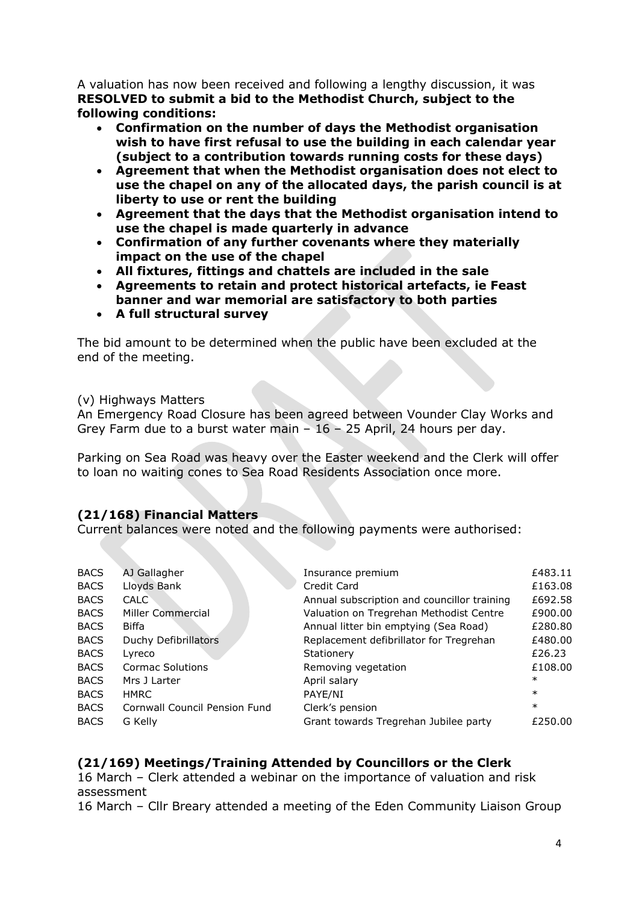A valuation has now been received and following a lengthy discussion, it was RESOLVED to submit a bid to the Methodist Church, subject to the following conditions:

- Confirmation on the number of days the Methodist organisation wish to have first refusal to use the building in each calendar year (subject to a contribution towards running costs for these days)
- Agreement that when the Methodist organisation does not elect to use the chapel on any of the allocated days, the parish council is at liberty to use or rent the building
- Agreement that the days that the Methodist organisation intend to use the chapel is made quarterly in advance
- Confirmation of any further covenants where they materially impact on the use of the chapel
- All fixtures, fittings and chattels are included in the sale
- Agreements to retain and protect historical artefacts, ie Feast banner and war memorial are satisfactory to both parties
- A full structural survey

The bid amount to be determined when the public have been excluded at the end of the meeting.

(v) Highways Matters

An Emergency Road Closure has been agreed between Vounder Clay Works and Grey Farm due to a burst water main  $-16 - 25$  April, 24 hours per day.

Parking on Sea Road was heavy over the Easter weekend and the Clerk will offer to loan no waiting cones to Sea Road Residents Association once more.

# (21/168) Financial Matters

Current balances were noted and the following payments were authorised:

| <b>BACS</b> | AJ Gallagher                  | Insurance premium                           | £483.11 |
|-------------|-------------------------------|---------------------------------------------|---------|
| <b>BACS</b> | Lloyds Bank                   | Credit Card                                 | £163.08 |
| <b>BACS</b> | <b>CALC</b>                   | Annual subscription and councillor training | £692.58 |
| <b>BACS</b> | Miller Commercial             | Valuation on Tregrehan Methodist Centre     | £900.00 |
| <b>BACS</b> | Biffa                         | Annual litter bin emptying (Sea Road)       | £280.80 |
| <b>BACS</b> | Duchy Defibrillators          | Replacement defibrillator for Tregrehan     | £480.00 |
| <b>BACS</b> | Lyreco                        | Stationery                                  | £26.23  |
| <b>BACS</b> | <b>Cormac Solutions</b>       | Removing vegetation                         | £108.00 |
| <b>BACS</b> | Mrs J Larter                  | April salary                                | $\ast$  |
| <b>BACS</b> | <b>HMRC</b>                   | PAYE/NI                                     | $\ast$  |
| <b>BACS</b> | Cornwall Council Pension Fund | Clerk's pension                             | $\ast$  |
| <b>BACS</b> | G Kelly                       | Grant towards Tregrehan Jubilee party       | £250.00 |
|             |                               |                                             |         |

# (21/169) Meetings/Training Attended by Councillors or the Clerk

16 March – Clerk attended a webinar on the importance of valuation and risk assessment

16 March – Cllr Breary attended a meeting of the Eden Community Liaison Group